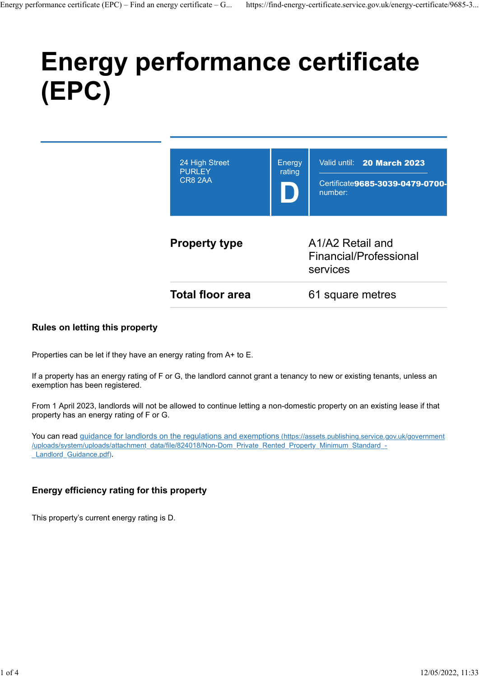# Energy performance certificate (EPC) Energy performance certificate (EPC) – Find an energy certificate – G... https://find-energy-certificate.service.gov.uk/energy-certificate/9685-3...<br>  $\blacksquare$



#### Rules on letting this property

Properties can be let if they have an energy rating from A+ to E.

If a property has an energy rating of F or G, the landlord cannot grant a tenancy to new or existing tenants, unless an exemption has been registered.

From 1 April 2023, landlords will not be allowed to continue letting a non-domestic property on an existing lease if that property has an energy rating of F or G.

You can read guidance for landlords on the regulations and exemptions (https://assets.publishing.service.gov.uk/government /uploads/system/uploads/attachment\_data/file/824018/Non-Dom\_Private\_Rented\_Property\_Minimum\_Standard\_- Landlord Guidance.pdf).

#### Energy efficiency rating for this property

This property's current energy rating is D.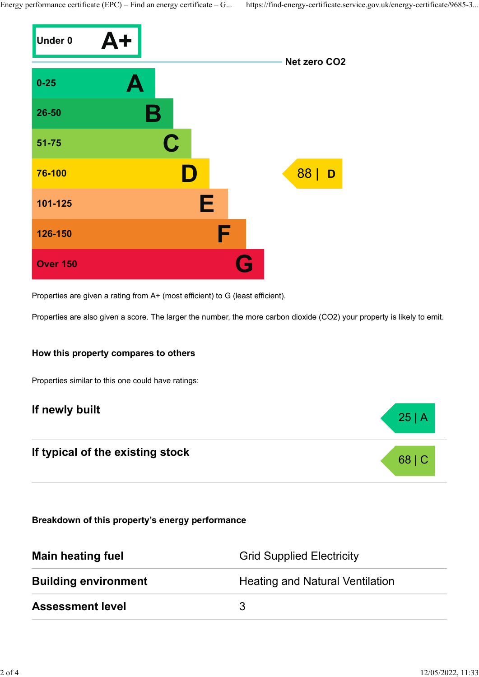

Properties are given a rating from A+ (most efficient) to G (least efficient).

Properties are also given a score. The larger the number, the more carbon dioxide (CO2) your property is likely to emit.

#### How this property compares to others

Properties similar to this one could have ratings:

# If newly built  $25 | A |$

# If typical of the existing stock 68 | C

Breakdown of this property's energy performance

| <b>Main heating fuel</b>    | <b>Grid Supplied Electricity</b>       |
|-----------------------------|----------------------------------------|
| <b>Building environment</b> | <b>Heating and Natural Ventilation</b> |
| <b>Assessment level</b>     |                                        |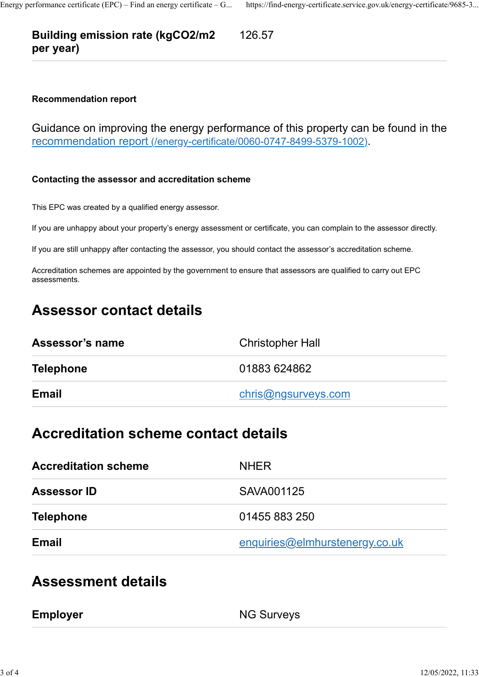# Building emission rate (kgCO2/m2 per year) Energy performance certificate (EPC) – Find an energy certificate – G... https://find-energy-certificate.service.gov.uk/energy-certificate/9685-3...<br> **Building emission rate (kgCO2/m2** 126.57<br> **per year)**

126.57

#### Recommendation report

Guidance on improving the energy performance of this property can be found in the recommendation report (/energy-certificate/0060-0747-8499-5379-1002).

#### Contacting the assessor and accreditation scheme

This EPC was created by a qualified energy assessor.

If you are unhappy about your property's energy assessment or certificate, you can complain to the assessor directly.

If you are still unhappy after contacting the assessor, you should contact the assessor's accreditation scheme.

Accreditation schemes are appointed by the government to ensure that assessors are qualified to carry out EPC assessments.

# Assessor contact details

| Assessor's name  | <b>Christopher Hall</b> |
|------------------|-------------------------|
| <b>Telephone</b> | 01883 624862            |
| <b>Email</b>     | chris@ngsurveys.com     |

### Accreditation scheme contact details

| <b>Accreditation scheme</b> | <b>NHER</b>                    |  |
|-----------------------------|--------------------------------|--|
| <b>Assessor ID</b>          | SAVA001125                     |  |
| <b>Telephone</b>            | 01455 883 250                  |  |
| <b>Email</b>                | enquiries@elmhurstenergy.co.uk |  |

## Assessment details

| <b>NG Surveys</b><br><b>Employer</b> |  |
|--------------------------------------|--|
|--------------------------------------|--|